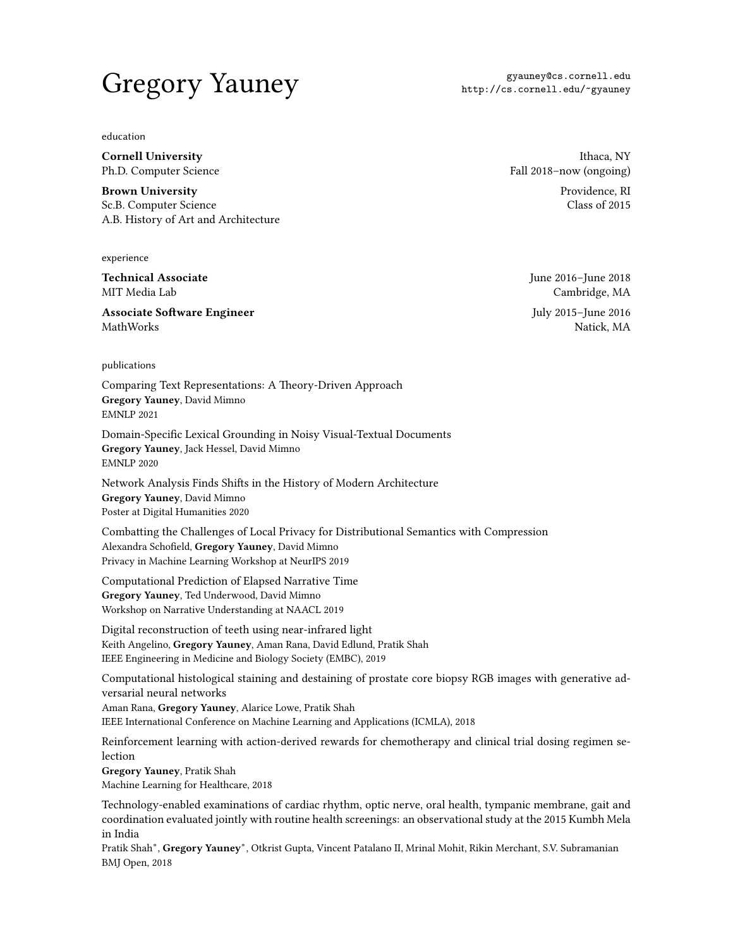## Gregory Yauney Mannell edu Electron Created and Supersectributed and Supersectributed and Supersectributed and  $\text{Strp}$  (/cs.cornell.edu/ $\text{``gyauney''}$

education

Ph.D. Computer Science Fall 2018–now (ongoing)

Brown University **Providence, RI** Sc.B. Computer Science Class of 2015 A.B. History of Art and Architecture

experience

MIT Media Lab Cambridge, MA

Associate Software Engineer **Iuly 2015** July 2015–June 2016 MathWorks **National Community of the Community Community** of the National National National National National National National National National National National National National National National National National Nati

publications

Comparing Text Representations: A Theory-Driven Approach Gregory Yauney, David Mimno EMNLP 2021

Domain-Specific Lexical Grounding in Noisy Visual-Textual Documents Gregory Yauney, Jack Hessel, David Mimno EMNLP 2020

Network Analysis Finds Shifts in the History of Modern Architecture Gregory Yauney, David Mimno Poster at Digital Humanities 2020

Combatting the Challenges of Local Privacy for Distributional Semantics with Compression Alexandra Schofield, Gregory Yauney, David Mimno Privacy in Machine Learning Workshop at NeurIPS 2019

[Computational Prediction of Elapsed Narrative Time](https://gyauney.github.io/papers/elapsed-narrative-time.pdf) Gregory Yauney, Ted Underwood, David Mimno Workshop on Narrative Understanding at NAACL 2019

[Digital reconstruction of teeth using near-infrared light](https://doi.org/10.1109/EMBC.2019.8857734) Keith Angelino, Gregory Yauney, Aman Rana, David Edlund, Pratik Shah IEEE Engineering in Medicine and Biology Society (EMBC), 2019

[Computational histological staining and destaining of prostate core biopsy RGB images with generative ad](https://doi.org/10.1109/ICMLA.2018.00133)[versarial neural networks](https://doi.org/10.1109/ICMLA.2018.00133) Aman Rana, Gregory Yauney, Alarice Lowe, Pratik Shah

IEEE International Conference on Machine Learning and Applications (ICMLA), 2018

[Reinforcement learning with action-derived rewards for chemotherapy and clinical trial dosing regimen se](http://proceedings.mlr.press/v85/yauney18a.html)[lection](http://proceedings.mlr.press/v85/yauney18a.html)

Gregory Yauney, Pratik Shah Machine Learning for Healthcare, 2018

[Technology-enabled examinations of cardiac rhythm, optic nerve, oral health, tympanic membrane, gait and](https://doi.org/10.1136/bmjopen-2017-018774) [coordination evaluated jointly with routine health screenings: an observational study at the 2015 Kumbh Mela](https://doi.org/10.1136/bmjopen-2017-018774) [in India](https://doi.org/10.1136/bmjopen-2017-018774)

Pratik Shah<sup>∗</sup>, Gregory Yauney<sup>∗</sup>, Otkrist Gupta, Vincent Patalano II, Mrinal Mohit, Rikin Merchant, S.V. Subramanian BMJ Open, 2018

**Cornell University Ithaca, NY** 

Technical Associate June 2016–June 2018

<http://cs.cornell.edu/~gyauney>